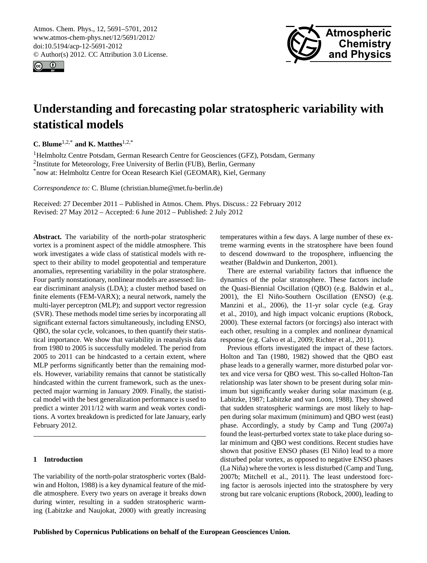<span id="page-0-0"></span>Atmos. Chem. Phys., 12, 5691–5701, 2012 www.atmos-chem-phys.net/12/5691/2012/ doi:10.5194/acp-12-5691-2012 © Author(s) 2012. CC Attribution 3.0 License.





# **Understanding and forecasting polar stratospheric variability with statistical models**

**C. Blume**1,2,\* **and K. Matthes**1,2,\*

<sup>1</sup>Helmholtz Centre Potsdam, German Research Centre for Geosciences (GFZ), Potsdam, Germany <sup>2</sup>Institute for Meteorology, Free University of Berlin (FUB), Berlin, Germany \*now at: Helmholtz Centre for Ocean Research Kiel (GEOMAR), Kiel, Germany

*Correspondence to:* C. Blume (christian.blume@met.fu-berlin.de)

Received: 27 December 2011 – Published in Atmos. Chem. Phys. Discuss.: 22 February 2012 Revised: 27 May 2012 – Accepted: 6 June 2012 – Published: 2 July 2012

**Abstract.** The variability of the north-polar stratospheric vortex is a prominent aspect of the middle atmosphere. This work investigates a wide class of statistical models with respect to their ability to model geopotential and temperature anomalies, representing variability in the polar stratosphere. Four partly nonstationary, nonlinear models are assessed: linear discriminant analysis (LDA); a cluster method based on finite elements (FEM-VARX); a neural network, namely the multi-layer perceptron (MLP); and support vector regression (SVR). These methods model time series by incorporating all significant external factors simultaneously, including ENSO, QBO, the solar cycle, volcanoes, to then quantify their statistical importance. We show that variability in reanalysis data from 1980 to 2005 is successfully modeled. The period from 2005 to 2011 can be hindcasted to a certain extent, where MLP performs significantly better than the remaining models. However, variability remains that cannot be statistically hindcasted within the current framework, such as the unexpected major warming in January 2009. Finally, the statistical model with the best generalization performance is used to predict a winter 2011/12 with warm and weak vortex conditions. A vortex breakdown is predicted for late January, early February 2012.

## **1 Introduction**

The variability of the north-polar stratospheric vortex [\(Bald](#page-9-0)[win and Holton,](#page-9-0) [1988\)](#page-9-0) is a key dynamical feature of the middle atmosphere. Every two years on average it breaks down during winter, resulting in a sudden stratospheric warming [\(Labitzke and Naujokat,](#page-9-1) [2000\)](#page-9-1) with greatly increasing temperatures within a few days. A large number of these extreme warming events in the stratosphere have been found to descend downward to the troposphere, influencing the weather [\(Baldwin and Dunkerton,](#page-9-2) [2001\)](#page-9-2).

There are external variability factors that influence the dynamics of the polar stratosphere. These factors include the Quasi-Biennial Oscillation (QBO) (e.g. [Baldwin et al.,](#page-9-3) [2001\)](#page-9-3), the El Niño-Southern Oscillation (ENSO) (e.g. [Manzini et al.,](#page-10-0) [2006\)](#page-10-0), the 11-yr solar cycle (e.g. [Gray](#page-9-4) [et al.,](#page-9-4) [2010\)](#page-9-4), and high impact volcanic eruptions [\(Robock,](#page-10-1) [2000\)](#page-10-1). These external factors (or forcings) also interact with each other, resulting in a complex and nonlinear dynamical response (e.g. [Calvo et al.,](#page-9-5) [2009;](#page-9-5) [Richter et al.,](#page-10-2) [2011\)](#page-10-2).

Previous efforts investigated the impact of these factors. [Holton and Tan](#page-9-6) [\(1980,](#page-9-6) [1982\)](#page-9-7) showed that the QBO east phase leads to a generally warmer, more disturbed polar vortex and vice versa for QBO west. This so-called Holton-Tan relationship was later shown to be present during solar minimum but significantly weaker during solar maximum (e.g. [Labitzke,](#page-9-8) [1987;](#page-9-8) [Labitzke and van Loon,](#page-9-9) [1988\)](#page-9-9). They showed that sudden stratospheric warmings are most likely to happen during solar maximum (minimum) and QBO west (east) phase. Accordingly, a study by [Camp and Tung](#page-9-10) [\(2007a\)](#page-9-10) found the least-perturbed vortex state to take place during solar minimum and QBO west conditions. Recent studies have shown that positive ENSO phases (El Niño) lead to a more disturbed polar vortex, as opposed to negative ENSO phases  $(La Niña)$  where the vortex is less disturbed ([Camp and Tung,](#page-9-11) [2007b;](#page-9-11) [Mitchell et al.,](#page-10-3) [2011\)](#page-10-3). The least understood forcing factor is aerosols injected into the stratosphere by very strong but rare volcanic eruptions [\(Robock,](#page-10-1) [2000\)](#page-10-1), leading to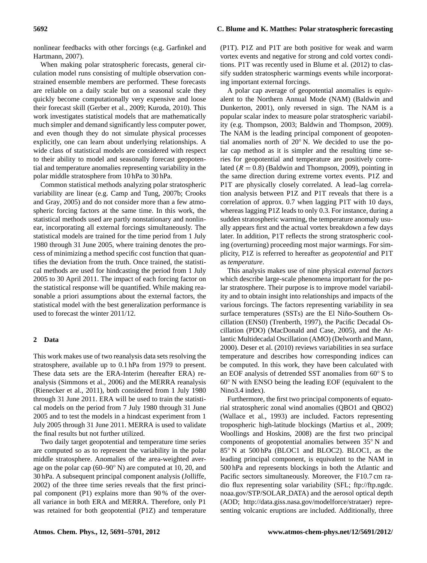nonlinear feedbacks with other forcings (e.g. [Garfinkel and](#page-9-12) [Hartmann,](#page-9-12) [2007\)](#page-9-12).

When making polar stratospheric forecasts, general circulation model runs consisting of multiple observation constrained ensemble members are performed. These forecasts are reliable on a daily scale but on a seasonal scale they quickly become computationally very expensive and loose their forecast skill [\(Gerber et al.,](#page-9-13) [2009;](#page-9-13) [Kuroda,](#page-9-14) [2010\)](#page-9-14). This work investigates statistical models that are mathematically much simpler and demand significantly less computer power, and even though they do not simulate physical processes explicitly, one can learn about underlying relationships. A wide class of statistical models are considered with respect to their ability to model and seasonally forecast geopotential and temperature anomalies representing variability in the polar middle stratosphere from 10 hPa to 30 hPa.

Common statistical methods analyzing polar stratospheric variability are linear (e.g. [Camp and Tung,](#page-9-11) [2007b;](#page-9-11) [Crooks](#page-9-15) [and Gray,](#page-9-15) [2005\)](#page-9-15) and do not consider more than a few atmospheric forcing factors at the same time. In this work, the statistical methods used are partly nonstationary and nonlinear, incorporating all external forcings simultaneously. The statistical models are trained for the time period from 1 July 1980 through 31 June 2005, where training denotes the process of minimizing a method specific cost function that quantifies the deviation from the truth. Once trained, the statistical methods are used for hindcasting the period from 1 July 2005 to 30 April 2011. The impact of each forcing factor on the statistical response will be quantified. While making reasonable a priori assumptions about the external factors, the statistical model with the best generalization performance is used to forecast the winter 2011/12.

#### <span id="page-1-0"></span>**2 Data**

This work makes use of two reanalysis data sets resolving the stratosphere, available up to 0.1 hPa from 1979 to present. These data sets are the ERA-Interim (hereafter ERA) reanalysis [\(Simmons et al.,](#page-10-4) [2006\)](#page-10-4) and the MERRA reanalysis [\(Rienecker et al.,](#page-10-5) [2011\)](#page-10-5), both considered from 1 July 1980 through 31 June 2011. ERA will be used to train the statistical models on the period from 7 July 1980 through 31 June 2005 and to test the models in a hindcast experiment from 1 July 2005 through 31 June 2011. MERRA is used to validate the final results but not further utilized.

Two daily target geopotential and temperature time series are computed so as to represent the variability in the polar middle stratosphere. Anomalies of the area-weighted average on the polar cap (60–90◦ N) are computed at 10, 20, and 30 hPa. A subsequent principal component analysis [\(Jolliffe,](#page-9-16) [2002\)](#page-9-16) of the three time series reveals that the first principal component (P1) explains more than 90 % of the overall variance in both ERA and MERRA. Therefore, only P1 was retained for both geopotential (P1Z) and temperature (P1T). P1Z and P1T are both positive for weak and warm vortex events and negative for strong and cold vortex conditions. P1T was recently used in [Blume et al.](#page-9-17) [\(2012\)](#page-9-17) to classify sudden stratospheric warmings events while incorporating important external forcings.

A polar cap average of geopotential anomalies is equivalent to the Northern Annual Mode (NAM) [\(Baldwin and](#page-9-2) [Dunkerton,](#page-9-2) [2001\)](#page-9-2), only reversed in sign. The NAM is a popular scalar index to measure polar stratospheric variability (e.g. [Thompson,](#page-10-6) [2003;](#page-10-6) [Baldwin and Thompson,](#page-9-18) [2009\)](#page-9-18). The NAM is the leading principal component of geopotential anomalies north of 20◦ N. We decided to use the polar cap method as it is simpler and the resulting time series for geopotential and temperature are positively correlated  $(R = 0.8)$  [\(Baldwin and Thompson,](#page-9-18) [2009\)](#page-9-18), pointing in the same direction during extreme vortex events. P1Z and P1T are physically closely correlated. A lead–lag correlation analysis between P1Z and P1T reveals that there is a correlation of approx. 0.7 when lagging P1T with 10 days, whereas lagging P1Z leads to only 0.3. For instance, during a sudden stratospheric warming, the temperature anomaly usually appears first and the actual vortex breakdown a few days later. In addition, P1T reflects the strong stratospheric cooling (overturning) proceeding most major warmings. For simplicity, P1Z is referred to hereafter as *geopotential* and P1T as *temperature*.

This analysis makes use of nine physical *external factors* which describe large-scale phenomena important for the polar stratosphere. Their purpose is to improve model variability and to obtain insight into relationships and impacts of the various forcings. The factors representing variability in sea surface temperatures (SSTs) are the El Niño-Southern Oscillation (ENS0) [\(Trenberth,](#page-10-7) [1997\)](#page-10-7), the Pacific Decadal Oscillation (PDO) [\(MacDonald and Case,](#page-10-8) [2005\)](#page-10-8), and the Atlantic Multidecadal Oscillation (AMO) [\(Delworth and Mann,](#page-9-19) [2000\)](#page-9-19). [Deser et al.](#page-9-20) [\(2010\)](#page-9-20) reviews variabilities in sea surface temperature and describes how corresponding indices can be computed. In this work, they have been calculated with an EOF analysis of detrended SST anomalies from 60◦ S to 60◦ N with ENSO being the leading EOF (equivalent to the Nino3.4 index).

Furthermore, the first two principal components of equatorial stratospheric zonal wind anomalies (QBO1 and QBO2) [\(Wallace et al.,](#page-10-9) [1993\)](#page-10-9) are included. Factors representing tropospheric high-latitude blockings [\(Martius et al.,](#page-10-10) [2009;](#page-10-10) [Woollings and Hoskins,](#page-10-11) [2008\)](#page-10-11) are the first two principal components of geopotential anomalies between 35◦ N and 85<sup>°</sup> N at 500 hPa (BLOC1 and BLOC2). BLOC1, as the leading principal component, is equivalent to the NAM in 500 hPa and represents blockings in both the Atlantic and Pacific sectors simultaneously. Moreover, the F10.7 cm radio flux representing solar variability (SFL; [ftp://ftp.ngdc.](ftp://ftp.ngdc.noaa.gov/STP/SOLAR_DATA) [noaa.gov/STP/SOLAR](ftp://ftp.ngdc.noaa.gov/STP/SOLAR_DATA) DATA) and the aerosol optical depth (AOD; [http://data.giss.nasa.gov/modelforce/strataer\)](http://data.giss.nasa.gov/modelforce/strataer) representing volcanic eruptions are included. Additionally, three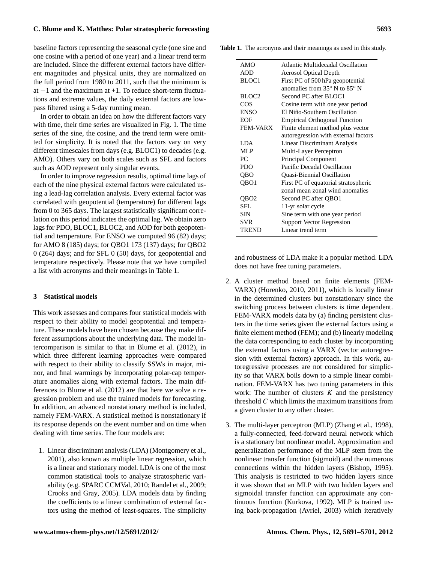baseline factors representing the seasonal cycle (one sine and one cosine with a period of one year) and a linear trend term are included. Since the different external factors have different magnitudes and physical units, they are normalized on the full period from 1980 to 2011, such that the minimum is at  $-1$  and the maximum at  $+1$ . To reduce short-term fluctuations and extreme values, the daily external factors are lowpass filtered using a 5-day running mean.

In order to obtain an idea on how the different factors vary with time, their time series are visualized in Fig. [1.](#page-3-0) The time series of the sine, the cosine, and the trend term were omitted for simplicity. It is noted that the factors vary on very different timescales from days (e.g. BLOC1) to decades (e.g. AMO). Others vary on both scales such as SFL and factors such as AOD represent only singular events.

In order to improve regression results, optimal time lags of each of the nine physical external factors were calculated using a lead-lag correlation analysis. Every external factor was correlated with geopotential (temperature) for different lags from 0 to 365 days. The largest statistically significant correlation on this period indicates the optimal lag. We obtain zero lags for PDO, BLOC1, BLOC2, and AOD for both geopotential and temperature. For ENSO we computed 96 (82) days; for AMO 8 (185) days; for QBO1 173 (137) days; for QBO2 0 (264) days; and for SFL 0 (50) days, for geopotential and temperature respectively. Please note that we have compiled a list with acronyms and their meanings in Table [1.](#page-2-0)

## **3 Statistical models**

This work assesses and compares four statistical models with respect to their ability to model geopotential and temperature. These models have been chosen because they make different assumptions about the underlying data. The model intercomparison is similar to that in [Blume et al.](#page-9-17) [\(2012\)](#page-9-17), in which three different learning approaches were compared with respect to their ability to classify SSWs in major, minor, and final warmings by incorporating polar-cap temperature anomalies along with external factors. The main differences to [Blume et al.](#page-9-17) [\(2012\)](#page-9-17) are that here we solve a regression problem and use the trained models for forecasting. In addition, an advanced nonstationary method is included, namely FEM-VARX. A statistical method is nonstationary if its response depends on the event number and on time when dealing with time series. The four models are:

1. Linear discriminant analysis (LDA) [\(Montgomery et al.,](#page-10-12) [2001\)](#page-10-12), also known as multiple linear regression, which is a linear and stationary model. LDA is one of the most common statistical tools to analyze stratospheric variability (e.g. [SPARC CCMVal,](#page-10-13) [2010;](#page-10-13) [Randel et al.,](#page-10-14) [2009;](#page-10-14) [Crooks and Gray,](#page-9-15) [2005\)](#page-9-15). LDA models data by finding the coefficients to a linear combination of external factors using the method of least-squares. The simplicity **Table 1.** The acronyms and their meanings as used in this study.

<span id="page-2-0"></span>

| AMO               | Atlantic Multidecadal Oscillation               |
|-------------------|-------------------------------------------------|
| <b>AOD</b>        | Aerosol Optical Depth                           |
| BLOC1             | First PC of 500 hPa geopotential                |
|                   | anomalies from $35^{\circ}$ N to $85^{\circ}$ N |
| BLOC <sub>2</sub> | Second PC after BLOC1                           |
| COS               | Cosine term with one year period                |
| <b>ENSO</b>       | El Niño-Southern Oscillation                    |
| EOF               | <b>Empirical Orthogonal Function</b>            |
| FEM-VARX          | Finite element method plus vector               |
|                   | autoregression with external factors            |
| LDA.              | <b>Linear Discriminant Analysis</b>             |
| MLP               | Multi-Layer Perceptron                          |
| PC.               | Principal Component                             |
| <b>PDO</b>        | Pacific Decadal Oscillation                     |
| QBO               | Quasi-Biennial Oscillation                      |
| QBO1              | First PC of equatorial stratospheric            |
|                   | zonal mean zonal wind anomalies                 |
| OBO2              | Second PC after QBO1                            |
| SFL.              | 11-yr solar cycle                               |
| <b>SIN</b>        | Sine term with one year period                  |
| <b>SVR</b>        | <b>Support Vector Regression</b>                |
| TREND             | Linear trend term                               |
|                   |                                                 |

and robustness of LDA make it a popular method. LDA does not have free tuning parameters.

- 2. A cluster method based on finite elements (FEM-VARX) [\(Horenko,](#page-9-21) [2010,](#page-9-21) [2011\)](#page-9-22), which is locally linear in the determined clusters but nonstationary since the switching process between clusters is time dependent. FEM-VARX models data by (a) finding persistent clusters in the time series given the external factors using a finite element method (FEM); and (b) linearly modeling the data corresponding to each cluster by incorporating the external factors using a VARX (vector autoregression with external factors) approach. In this work, autoregressive processes are not considered for simplicity so that VARX boils down to a simple linear combination. FEM-VARX has two tuning parameters in this work: The number of clusters  $K$  and the persistency threshold  $C$  which limits the maximum transitions from a given cluster to any other cluster.
- 3. The multi-layer perceptron (MLP) [\(Zhang et al.,](#page-10-15) [1998\)](#page-10-15), a fully-connected, feed-forward neural network which is a stationary but nonlinear model. Approximation and generalization performance of the MLP stem from the nonlinear transfer function (sigmoid) and the numerous connections within the hidden layers [\(Bishop,](#page-9-23) [1995\)](#page-9-23). This analysis is restricted to two hidden layers since it was shown that an MLP with two hidden layers and sigmoidal transfer function can approximate any continuous function [\(Kurkova,](#page-9-24) [1992\)](#page-9-24). MLP is trained using back-propagation [\(Avriel,](#page-9-25) [2003\)](#page-9-25) which iteratively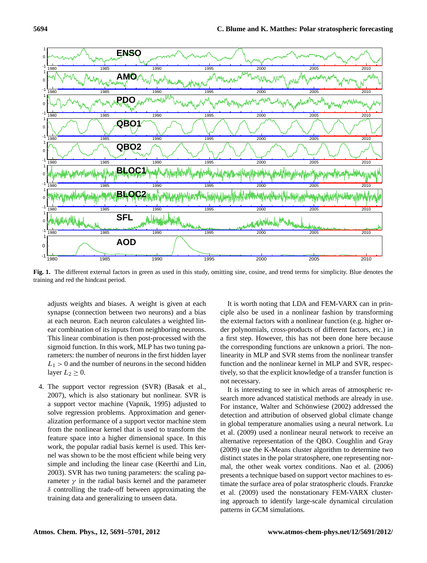

<span id="page-3-0"></span>**Fig. 1.** The different external factors in green as used in this study, omitting sine, cosine, and trend terms for simplicity. Blue denotes the training and red the hindcast period.

adjusts weights and biases. A weight is given at each synapse (connection between two neurons) and a bias at each neuron. Each neuron calculates a weighted linear combination of its inputs from neighboring neurons. This linear combination is then post-processed with the sigmoid function. In this work, MLP has two tuning parameters: the number of neurons in the first hidden layer  $L_1 > 0$  and the number of neurons in the second hidden layer  $L_2 \geq 0$ .

4. The support vector regression (SVR) [\(Basak et al.,](#page-9-26) [2007\)](#page-9-26), which is also stationary but nonlinear. SVR is a support vector machine [\(Vapnik,](#page-10-16) [1995\)](#page-10-16) adjusted to solve regression problems. Approximation and generalization performance of a support vector machine stem from the nonlinear kernel that is used to transform the feature space into a higher dimensional space. In this work, the popular radial basis kernel is used. This kernel was shown to be the most efficient while being very simple and including the linear case [\(Keerthi and Lin,](#page-9-27) [2003\)](#page-9-27). SVR has two tuning parameters: the scaling parameter  $\gamma$  in the radial basis kernel and the parameter  $\delta$  controlling the trade-off between approximating the training data and generalizing to unseen data.

It is worth noting that LDA and FEM-VARX can in principle also be used in a nonlinear fashion by transforming the external factors with a nonlinear function (e.g. higher order polynomials, cross-products of different factors, etc.) in a first step. However, this has not been done here because the corresponding functions are unknown a priori. The nonlinearity in MLP and SVR stems from the nonlinear transfer function and the nonlinear kernel in MLP and SVR, respectively, so that the explicit knowledge of a transfer function is not necessary.

It is interesting to see in which areas of atmospheric research more advanced statistical methods are already in use. For instance, Walter and Schönwiese [\(2002\)](#page-10-17) addressed the detection and attribution of observed global climate change in global temperature anomalies using a neural network. [Lu](#page-9-28) [et al.](#page-9-28) [\(2009\)](#page-9-28) used a nonlinear neural network to receive an alternative representation of the QBO. [Coughlin and Gray](#page-9-29) [\(2009\)](#page-9-29) use the K-Means cluster algorithm to determine two distinct states in the polar stratosphere, one representing normal, the other weak vortex conditions. [Nao et al.](#page-10-18) [\(2006\)](#page-10-18) presents a technique based on support vector machines to estimate the surface area of polar stratospheric clouds. [Franzke](#page-9-30) [et al.](#page-9-30) [\(2009\)](#page-9-30) used the nonstationary FEM-VARX clustering approach to identify large-scale dynamical circulation patterns in GCM simulations.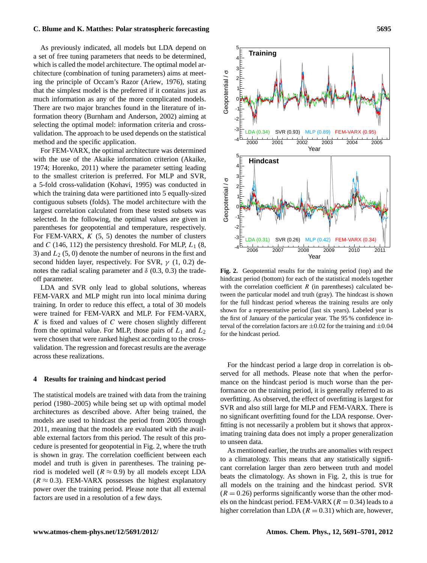As previously indicated, all models but LDA depend on a set of free tuning parameters that needs to be determined, which is called the model architecture. The optimal model architecture (combination of tuning parameters) aims at meeting the principle of Occam's Razor [\(Ariew,](#page-9-31) [1976\)](#page-9-31), stating that the simplest model is the preferred if it contains just as much information as any of the more complicated models. There are two major branches found in the literature of information theory [\(Burnham and Anderson,](#page-9-32) [2002\)](#page-9-32) aiming at selecting the optimal model: information criteria and crossvalidation. The approach to be used depends on the statistical method and the specific application.

For FEM-VARX, the optimal architecture was determined with the use of the Akaike information criterion [\(Akaike,](#page-9-33) [1974;](#page-9-33) [Horenko,](#page-9-22) [2011\)](#page-9-22) where the parameter setting leading to the smallest criterion is preferred. For MLP and SVR, a 5-fold cross-validation [\(Kohavi,](#page-9-34) [1995\)](#page-9-34) was conducted in which the training data were partitioned into 5 equally-sized contiguous subsets (folds). The model architecture with the largest correlation calculated from these tested subsets was selected. In the following, the optimal values are given in parentheses for geopotential and temperature, respectively. For FEM-VARX,  $K$  (5, 5) denotes the number of clusters and C (146, 112) the persistency threshold. For MLP,  $L_1$  (8, 3) and  $L_2$  (5, 0) denote the number of neurons in the first and second hidden layer, respectively. For SVR,  $\gamma$  (1, 0.2) denotes the radial scaling parameter and  $\delta$  (0.3, 0.3) the tradeoff parameter.

LDA and SVR only lead to global solutions, whereas FEM-VARX and MLP might run into local minima during training. In order to reduce this effect, a total of 30 models were trained for FEM-VARX and MLP. For FEM-VARX,  $K$  is fixed and values of  $C$  were chosen slightly different from the optimal value. For MLP, those pairs of  $L_1$  and  $L_2$ were chosen that were ranked highest according to the crossvalidation. The regression and forecast results are the average across these realizations.

#### **4 Results for training and hindcast period**

The statistical models are trained with data from the training period (1980–2005) while being set up with optimal model architectures as described above. After being trained, the models are used to hindcast the period from 2005 through 2011, meaning that the models are evaluated with the available external factors from this period. The result of this procedure is presented for geopotential in Fig. [2,](#page-4-0) where the truth is shown in gray. The correlation coefficient between each model and truth is given in parentheses. The training period is modeled well ( $R \approx 0.9$ ) by all models except LDA  $(R \approx 0.3)$ . FEM-VARX possesses the highest explanatory power over the training period. Please note that all external factors are used in a resolution of a few days.



<span id="page-4-0"></span>**Fig. 2.** Geopotential results for the training period (top) and the hindcast period (bottom) for each of the statistical models together with the correlation coefficient  $R$  (in parentheses) calculated between the particular model and truth (gray). The hindcast is shown for the full hindcast period whereas the training results are only shown for a representative period (last six years). Labeled year is the first of January of the particular year. The 95 % confidence interval of the correlation factors are  $\pm 0.02$  for the training and  $\pm 0.04$ for the hindcast period.

For the hindcast period a large drop in correlation is observed for all methods. Please note that when the performance on the hindcast period is much worse than the performance on the training period, it is generally referred to as overfitting. As observed, the effect of overfitting is largest for SVR and also still large for MLP and FEM-VARX. There is no significant overfitting found for the LDA response. Overfitting is not necessarily a problem but it shows that approximating training data does not imply a proper generalization to unseen data.

As mentioned earlier, the truths are anomalies with respect to a climatology. This means that any statistically significant correlation larger than zero between truth and model beats the climatology. As shown in Fig. [2,](#page-4-0) this is true for all models on the training and the hindcast period. SVR  $(R = 0.26)$  performs significantly worse than the other models on the hindcast period. FEM-VARX ( $R = 0.34$ ) leads to a higher correlation than LDA ( $R = 0.31$ ) which are, however,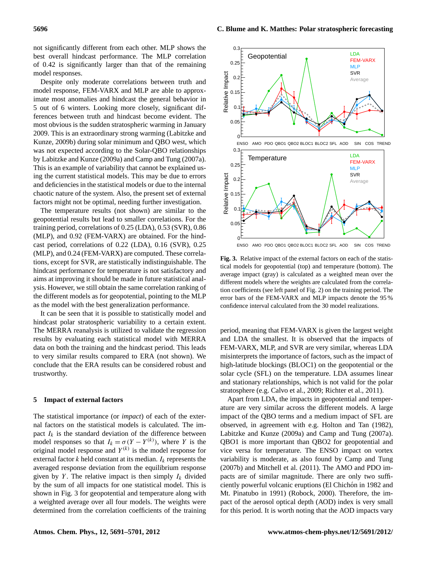not significantly different from each other. MLP shows the best overall hindcast performance. The MLP correlation of 0.42 is significantly larger than that of the remaining model responses.

Despite only moderate correlations between truth and model response, FEM-VARX and MLP are able to approximate most anomalies and hindcast the general behavior in 5 out of 6 winters. Looking more closely, significant differences between truth and hindcast become evident. The most obvious is the sudden stratospheric warming in January 2009. This is an extraordinary strong warming [\(Labitzke and](#page-9-35) [Kunze,](#page-9-35) [2009b\)](#page-9-35) during solar minimum and QBO west, which was not expected according to the Solar-QBO relationships by [Labitzke and Kunze](#page-9-36) [\(2009a\)](#page-9-36) and [Camp and Tung](#page-9-10) [\(2007a\)](#page-9-10). This is an example of variability that cannot be explained using the current statistical models. This may be due to errors and deficiencies in the statistical models or due to the internal chaotic nature of the system. Also, the present set of external factors might not be optimal, needing further investigation.

The temperature results (not shown) are similar to the geopotential results but lead to smaller correlations. For the training period, correlations of 0.25 (LDA), 0.53 (SVR), 0.86 (MLP), and 0.92 (FEM-VARX) are obtained. For the hindcast period, correlations of 0.22 (LDA), 0.16 (SVR), 0.25 (MLP), and 0.24 (FEM-VARX) are computed. These correlations, except for SVR, are statistically indistinguishable. The hindcast performance for temperature is not satisfactory and aims at improving it should be made in future statistical analysis. However, we still obtain the same correlation ranking of the different models as for geopotential, pointing to the MLP as the model with the best generalization performance.

It can be seen that it is possible to statistically model and hindcast polar stratospheric variability to a certain extent. The MERRA reanalysis is utilized to validate the regression results by evaluating each statistical model with MERRA data on both the training and the hindcast period. This leads to very similar results compared to ERA (not shown). We conclude that the ERA results can be considered robust and trustworthy.

#### **5 Impact of external factors**

The statistical importance (or *impact*) of each of the external factors on the statistical models is calculated. The impact  $I_k$  is the standard deviation of the difference between model responses so that  $I_k = \sigma(Y - Y^{(k)})$ , where Y is the original model response and  $Y^{(k)}$  is the model response for external factor  $k$  held constant at its median.  $I_k$  represents the averaged response deviation from the equilibrium response given by Y. The relative impact is then simply  $I_k$  divided by the sum of all impacts for one statistical model. This is shown in Fig. [3](#page-5-0) for geopotential and temperature along with a weighted average over all four models. The weights were determined from the correlation coefficients of the training



<span id="page-5-0"></span>**Fig. 3.** Relative impact of the external factors on each of the statistical models for geopotential (top) and temperature (bottom). The average impact (gray) is calculated as a weighted mean over the different models where the weights are calculated from the correlation coefficients (see left panel of Fig. [2\)](#page-4-0) on the training period. The error bars of the FEM-VARX and MLP impacts denote the 95 % confidence interval calculated from the 30 model realizations.

period, meaning that FEM-VARX is given the largest weight and LDA the smallest. It is observed that the impacts of FEM-VARX, MLP, and SVR are very similar, whereas LDA misinterprets the importance of factors, such as the impact of high-latitude blockings (BLOC1) on the geopotential or the solar cycle (SFL) on the temperature. LDA assumes linear and stationary relationships, which is not valid for the polar stratosphere (e.g. [Calvo et al.,](#page-9-5) [2009;](#page-9-5) [Richter et al.,](#page-10-2) [2011\)](#page-10-2).

Apart from LDA, the impacts in geopotential and temperature are very similar across the different models. A large impact of the QBO terms and a medium impact of SFL are observed, in agreement with e.g. [Holton and Tan](#page-9-7) [\(1982\)](#page-9-7), [Labitzke and Kunze](#page-9-36) [\(2009a\)](#page-9-36) and [Camp and Tung](#page-9-10) [\(2007a\)](#page-9-10). QBO1 is more important than QBO2 for geopotential and vice versa for temperature. The ENSO impact on vortex variability is moderate, as also found by [Camp and Tung](#page-9-11) [\(2007b\)](#page-9-11) and [Mitchell et al.](#page-10-3) [\(2011\)](#page-10-3). The AMO and PDO impacts are of similar magnitude. There are only two sufficiently powerful volcanic eruptions (El Chichón in 1982 and Mt. Pinatubo in 1991) [\(Robock,](#page-10-1) [2000\)](#page-10-1). Therefore, the impact of the aerosol optical depth (AOD) index is very small for this period. It is worth noting that the AOD impacts vary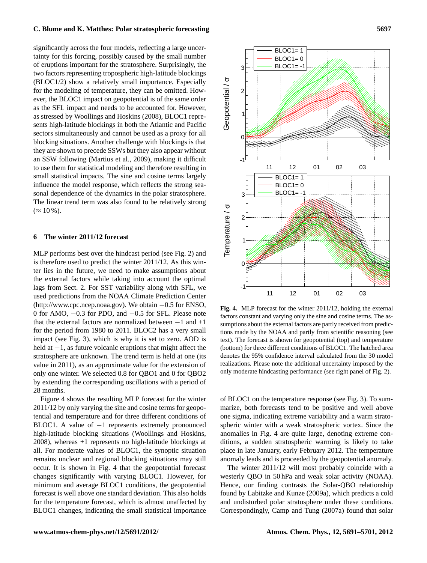significantly across the four models, reflecting a large uncertainty for this forcing, possibly caused by the small number of eruptions important for the stratosphere. Surprisingly, the two factors representing tropospheric high-latitude blockings (BLOC1/2) show a relatively small importance. Especially for the modeling of temperature, they can be omitted. However, the BLOC1 impact on geopotential is of the same order as the SFL impact and needs to be accounted for. However, as stressed by [Woollings and Hoskins](#page-10-11) [\(2008\)](#page-10-11), BLOC1 represents high-latitude blockings in both the Atlantic and Pacific sectors simultaneously and cannot be used as a proxy for all blocking situations. Another challenge with blockings is that they are shown to precede SSWs but they also appear without an SSW following [\(Martius et al.,](#page-10-10) [2009\)](#page-10-10), making it difficult to use them for statistical modeling and therefore resulting in small statistical impacts. The sine and cosine terms largely influence the model response, which reflects the strong seasonal dependence of the dynamics in the polar stratosphere. The linear trend term was also found to be relatively strong  $(\approx 10\%).$ 

### <span id="page-6-1"></span>**6 The winter 2011/12 forecast**

MLP performs best over the hindcast period (see Fig. [2\)](#page-4-0) and is therefore used to predict the winter 2011/12. As this winter lies in the future, we need to make assumptions about the external factors while taking into account the optimal lags from Sect. [2.](#page-1-0) For SST variability along with SFL, we used predictions from the NOAA Climate Prediction Center [\(http://www.cpc.ncep.noaa.gov\)](http://www.cpc.ncep.noaa.gov). We obtain −0.5 for ENSO, 0 for AMO, −0.3 for PDO, and −0.5 for SFL. Please note that the external factors are normalized between  $-1$  and  $+1$ for the period from 1980 to 2011. BLOC2 has a very small impact (see Fig. [3\)](#page-5-0), which is why it is set to zero. AOD is held at −1, as future volcanic eruptions that might affect the stratosphere are unknown. The trend term is held at one (its value in 2011), as an approximate value for the extension of only one winter. We selected 0.8 for QBO1 and 0 for QBO2 by extending the corresponding oscillations with a period of 28 months.

Figure [4](#page-6-0) shows the resulting MLP forecast for the winter 2011/12 by only varying the sine and cosine terms for geopotential and temperature and for three different conditions of BLOC1. A value of −1 represents extremely pronounced high-latitude blocking situations [\(Woollings and Hoskins,](#page-10-11) [2008\)](#page-10-11), whereas +1 represents no high-latitude blockings at all. For moderate values of BLOC1, the synoptic situation remains unclear and regional blocking situations may still occur. It is shown in Fig. [4](#page-6-0) that the geopotential forecast changes significantly with varying BLOC1. However, for minimum and average BLOC1 conditions, the geopotential forecast is well above one standard deviation. This also holds for the temperature forecast, which is almost unaffected by BLOC1 changes, indicating the small statistical importance



<span id="page-6-0"></span>**Fig. 4.** MLP forecast for the winter 2011/12, holding the external factors constant and varying only the sine and cosine terms. The assumptions about the external factors are partly received from predictions made by the NOAA and partly from scientific reasoning (see text). The forecast is shown for geopotential (top) and temperature (bottom) for three different conditions of BLOC1. The hatched area denotes the 95% confidence interval calculated from the 30 model realizations. Please note the additional uncertainty imposed by the only moderate hindcasting performance (see right panel of Fig. [2\)](#page-4-0).

of BLOC1 on the temperature response (see Fig. [3\)](#page-5-0). To summarize, both forecasts tend to be positive and well above one sigma, indicating extreme variability and a warm stratospheric winter with a weak stratospheric vortex. Since the anomalies in Fig. [4](#page-6-0) are quite large, denoting extreme conditions, a sudden stratospheric warming is likely to take place in late January, early February 2012. The temperature anomaly leads and is proceeded by the geopotential anomaly.

The winter 2011/12 will most probably coincide with a westerly QBO in 50 hPa and weak solar activity (NOAA). Hence, our finding contrasts the Solar-QBO relationship found by [Labitzke and Kunze](#page-9-36) [\(2009a\)](#page-9-36), which predicts a cold and undisturbed polar stratosphere under these conditions. Correspondingly, [Camp and Tung](#page-9-10) [\(2007a\)](#page-9-10) found that solar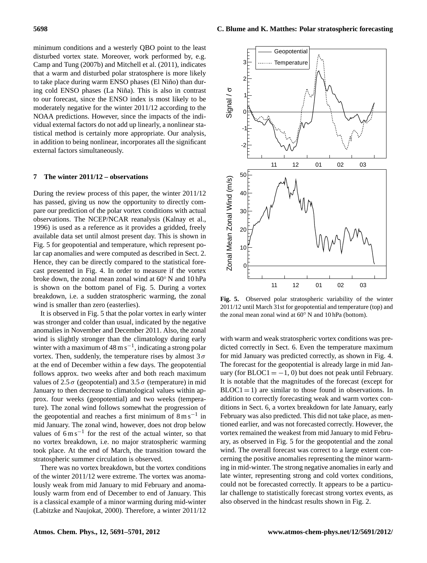minimum conditions and a westerly QBO point to the least disturbed vortex state. Moreover, work performed by, e.g. [Camp and Tung](#page-9-11) [\(2007b\)](#page-9-11) and [Mitchell et al.](#page-10-3) [\(2011\)](#page-10-3), indicates that a warm and disturbed polar stratosphere is more likely to take place during warm ENSO phases (El Niño) than during cold ENSO phases (La Niña). This is also in contrast to our forecast, since the ENSO index is most likely to be moderately negative for the winter 2011/12 according to the NOAA predictions. However, since the impacts of the individual external factors do not add up linearly, a nonlinear statistical method is certainly more appropriate. Our analysis, in addition to being nonlinear, incorporates all the significant external factors simultaneously.

# **7 The winter 2011/12 – observations**

During the review process of this paper, the winter 2011/12 has passed, giving us now the opportunity to directly compare our prediction of the polar vortex conditions with actual observations. The NCEP/NCAR reanalysis [\(Kalnay et al.,](#page-9-37) [1996\)](#page-9-37) is used as a reference as it provides a gridded, freely available data set until almost present day. This is shown in Fig. [5](#page-7-0) for geopotential and temperature, which represent polar cap anomalies and were computed as described in Sect. [2.](#page-1-0) Hence, they can be directly compared to the statistical forecast presented in Fig. [4.](#page-6-0) In order to measure if the vortex broke down, the zonal mean zonal wind at 60◦ N and 10 hPa is shown on the bottom panel of Fig. [5.](#page-7-0) During a vortex breakdown, i.e. a sudden stratospheric warming, the zonal wind is smaller than zero (easterlies).

It is observed in Fig. [5](#page-7-0) that the polar vortex in early winter was stronger and colder than usual, indicated by the negative anomalies in November and December 2011. Also, the zonal wind is slightly stronger than the climatology during early winter with a maximum of  $48 \text{ m s}^{-1}$ , indicating a strong polar vortex. Then, suddenly, the temperature rises by almost  $3\sigma$ at the end of December within a few days. The geopotential follows approx. two weeks after and both reach maximum values of 2.5  $\sigma$  (geopotential) and 3.5  $\sigma$  (temperature) in mid January to then decrease to climatological values within approx. four weeks (geopotential) and two weeks (temperature). The zonal wind follows somewhat the progression of the geopotential and reaches a first minimum of  $8 \text{ m s}^{-1}$  in mid January. The zonal wind, however, does not drop below values of  $6 \text{ m s}^{-1}$  for the rest of the actual winter, so that no vortex breakdown, i.e. no major stratospheric warming took place. At the end of March, the transition toward the stratospheric summer circulation is observed.

There was no vortex breakdown, but the vortex conditions of the winter 2011/12 were extreme. The vortex was anomalously weak from mid January to mid February and anomalously warm from end of December to end of January. This is a classical example of a minor warming during mid-winter [\(Labitzke and Naujokat,](#page-9-1) [2000\)](#page-9-1). Therefore, a winter 2011/12



<span id="page-7-0"></span>**Fig. 5.** Observed polar stratospheric variability of the winter 2011/12 until March 31st for geopotential and temperature (top) and the zonal mean zonal wind at 60◦ N and 10 hPa (bottom).

with warm and weak stratospheric vortex conditions was predicted correctly in Sect. [6.](#page-6-1) Even the temperature maximum for mid January was predicted correctly, as shown in Fig. [4.](#page-6-0) The forecast for the geopotential is already large in mid January (for  $BLOC1 = -1$ , 0) but does not peak until February. It is notable that the magnitudes of the forecast (except for  $BLOC1 = 1$ ) are similar to those found in observations. In addition to correctly forecasting weak and warm vortex conditions in Sect. [6,](#page-6-1) a vortex breakdown for late January, early February was also predicted. This did not take place, as mentioned earlier, and was not forecasted correctly. However, the vortex remained the weakest from mid January to mid February, as observed in Fig. [5](#page-7-0) for the geopotential and the zonal wind. The overall forecast was correct to a large extent concerning the positive anomalies representing the minor warming in mid-winter. The strong negative anomalies in early and late winter, representing strong and cold vortex conditions, could not be forecasted correctly. It appears to be a particular challenge to statistically forecast strong vortex events, as also observed in the hindcast results shown in Fig. [2.](#page-4-0)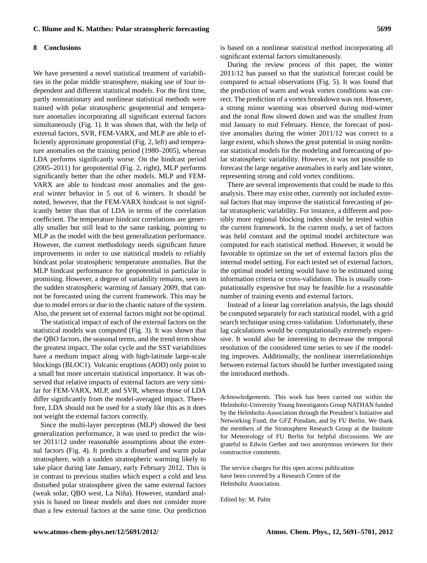#### **8 Conclusions**

We have presented a novel statistical treatment of variabilities in the polar middle stratosphere, making use of four independent and different statistical models. For the first time, partly nonstationary and nonlinear statistical methods were trained with polar stratospheric geopotential and temperature anomalies incorporating all significant external factors simultaneously (Fig. [1\)](#page-3-0). It was shown that, with the help of external factors, SVR, FEM-VARX, and MLP are able to efficiently approximate geopotential (Fig. [2,](#page-4-0) left) and temperature anomalies on the training period (1980–2005), whereas LDA performs significantly worse. On the hindcast period (2005–2011) for geopotential (Fig. [2,](#page-4-0) right), MLP performs significantly better than the other models. MLP and FEM-VARX are able to hindcast most anomalies and the general winter behavior in 5 out of 6 winters. It should be noted, however, that the FEM-VARX hindcast is not significantly better than that of LDA in terms of the correlation coefficient. The temperature hindcast correlations are generally smaller but still lead to the same ranking, pointing to MLP as the model with the best generalization performance. However, the current methodology needs significant future improvements in order to use statistical models to reliably hindcast polar stratospheric temperature anomalies. But the MLP hindcast performance for geopotential in particular is promising. However, a degree of variability remains, seen in the sudden stratospheric warming of January 2009, that cannot be forecasted using the current framework. This may be due to model errors or due to the chaotic nature of the system. Also, the present set of external factors might not be optimal.

The statistical impact of each of the external factors on the statistical models was computed (Fig. [3\)](#page-5-0). It was shown that the QBO factors, the seasonal terms, and the trend term show the greatest impact. The solar cycle and the SST variabilities have a medium impact along with high-latitude large-scale blockings (BLOC1). Volcanic eruptions (AOD) only point to a small but more uncertain statistical importance. It was observed that relative impacts of external factors are very similar for FEM-VARX, MLP, and SVR, whereas those of LDA differ significantly from the model-averaged impact. Therefore, LDA should not be used for a study like this as it does not weight the external factors correctly.

Since the multi-layer perceptron (MLP) showed the best generalization performance, it was used to predict the winter 2011/12 under reasonable assumptions about the external factors (Fig. [4\)](#page-6-0). It predicts a disturbed and warm polar stratosphere, with a sudden stratospheric warming likely to take place during late January, early February 2012. This is in contrast to previous studies which expect a cold and less disturbed polar stratosphere given the same external factors (weak solar, QBO west, La Niña). However, standard analysis is based on linear models and does not consider more than a few external factors at the same time. Our prediction is based on a nonlinear statistical method incorporating all significant external factors simultaneously.

During the review process of this paper, the winter 2011/12 has passed so that the statistical forecast could be compared to actual observations (Fig. [5\)](#page-7-0). It was found that the prediction of warm and weak vortex conditions was correct. The prediction of a vortex breakdown was not. However, a strong minor warming was observed during mid-winter and the zonal flow slowed down and was the smallest from mid January to mid February. Hence, the forecast of positive anomalies during the winter 2011/12 was correct to a large extent, which shows the great potential in using nonlinear statistical models for the modeling and forecasting of polar stratospheric variability. However, it was not possible to forecast the large negative anomalies in early and late winter, representing strong and cold vortex conditions.

There are several improvements that could be made to this analysis. There may exist other, currently not included external factors that may improve the statistical forecasting of polar stratospheric variability. For instance, a different and possibly more regional blocking index should be tested within the current framework. In the current study, a set of factors was held constant and the optimal model architecture was computed for each statistical method. However, it would be favorable to optimize on the set of external factors plus the internal model setting. For each tested set of external factors, the optimal model setting would have to be estimated using information criteria or cross-validation. This is usually computationally expensive but may be feasible for a reasonable number of training events and external factors.

Instead of a linear lag correlation analysis, the lags should be computed separately for each statistical model, with a grid search technique using cross-validation. Unfortunately, these lag calculations would be computationally extremely expensive. It would also be interesting to decrease the temporal resolution of the considered time series to see if the modeling improves. Additionally, the nonlinear interrelationships between external factors should be further investigated using the introduced methods.

*Acknowledgements.* This work has been carried out within the Helmholtz-University Young Investigators Group NATHAN funded by the Helmholtz-Association through the President's Initiative and Networking Fund, the GFZ Potsdam, and by FU Berlin. We thank the members of the Stratosphere Research Group at the Institute for Meteorology of FU Berlin for helpful discussions. We are grateful to Edwin Gerber and two anonymous reviewers for their constructive comments.

The service charges for this open access publication have been covered by a Research Centre of the Helmholtz Association.

Edited by: M. Palm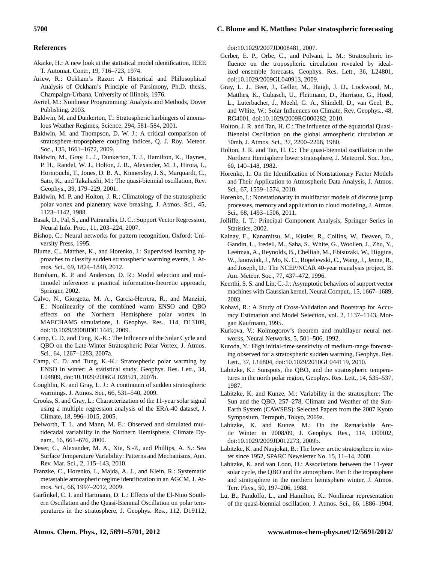#### **References**

- <span id="page-9-33"></span>Akaike, H.: A new look at the statistical model identification, IEEE T. Automat. Contr., 19, 716–723, 1974.
- <span id="page-9-31"></span>Ariew, R.: Ockham's Razor: A Historical and Philosophical Analysis of Ockham's Principle of Parsimony, Ph.D. thesis, Champaign-Urbana, University of Illinois, 1976.
- <span id="page-9-25"></span>Avriel, M.: Nonlinear Programming: Analysis and Methods, Dover Publishing, 2003.
- <span id="page-9-2"></span>Baldwin, M. and Dunkerton, T.: Stratospheric harbingers of anomalous Weather Regimes, Science, 294, 581–584, 2001.
- <span id="page-9-18"></span>Baldwin, M. and Thompson, D. W. J.: A critical comparison of stratosphere-troposphere coupling indices, Q. J. Roy. Meteor. Soc., 135, 1661–1672, 2009.
- <span id="page-9-3"></span>Baldwin, M., Gray, L. J., Dunkerton, T. J., Hamilton, K., Haynes, P. H., Randel, W. J., Holton, J. R., Alexander, M. J., Hirota, I., Horinouchi, T., Jones, D. B. A., Kinnersley, J. S., Marquardt, C., Sato, K., and Takahashi, M.: The quasi-biennial oscillation, Rev. Geophys., 39, 179–229, 2001.
- <span id="page-9-0"></span>Baldwin, M. P. and Holton, J. R.: Climatology of the stratospheric polar vortex and planetary wave breaking, J. Atmos. Sci., 45, 1123–1142, 1988.
- <span id="page-9-26"></span>Basak, D., Pal, S., and Patranabis, D. C.: Support Vector Regression, Neural Info. Proc., 11, 203–224, 2007.
- <span id="page-9-23"></span>Bishop, C.: Neural networks for pattern recognition, Oxford: University Press, 1995.
- <span id="page-9-17"></span>Blume, C., Matthes, K., and Horenko, I.: Supervised learning approaches to classify sudden stratospheric warming events, J. Atmos. Sci., 69, 1824–1840, 2012.
- <span id="page-9-32"></span>Burnham, K. P. and Anderson, D. R.: Model selection and multimodel inference: a practical information-theoretic approach, Springer, 2002.
- <span id="page-9-5"></span>Calvo, N., Giorgetta, M. A., Garcia-Herrera, R., and Manzini, E.: Nonlinearity of the combined warm ENSO and QBO effects on the Northern Hemisphere polar vortex in MAECHAM5 simulations, J. Geophys. Res., 114, D13109, [doi:10.1029/2008JD011445,](http://dx.doi.org/10.1029/2008JD011445) 2009.
- <span id="page-9-10"></span>Camp, C. D. and Tung, K.-K.: The Influence of the Solar Cycle and QBO on the Late-Winter Stratospheric Polar Vortex, J. Atmos. Sci., 64, 1267–1283, 2007a.
- <span id="page-9-11"></span>Camp, C. D. and Tung, K.-K.: Stratospheric polar warming by ENSO in winter: A statistical study, Geophys. Res. Lett., 34, L04809, [doi:10.1029/2006GL028521,](http://dx.doi.org/10.1029/2006GL028521) 2007b.
- <span id="page-9-29"></span>Coughlin, K. and Gray, L. J.: A continuum of sudden stratospheric warmings. J. Atmos. Sci., 66, 531–540, 2009.
- <span id="page-9-15"></span>Crooks, S. and Gray, L.: Characterization of the 11-year solar signal using a multiple regression analysis of the ERA-40 dataset, J. Climate, 18, 996–1015, 2005.
- <span id="page-9-19"></span>Delworth, T. L. and Mann, M. E.: Observed and simulated multidecadal variability in the Northern Hemisphere, Climate Dynam., 16, 661–676, 2000.
- <span id="page-9-20"></span>Deser, C., Alexander, M. A., Xie, S.-P., and Phillips, A. S.: Sea Surface Temperature Variability: Patterns and Mechanisms, Ann. Rev. Mar. Sci., 2, 115–143, 2010.
- <span id="page-9-30"></span>Franzke, C., Horenko, I., Majda, A. J., and Klein, R.: Systematic metastable atmospheric regime identification in an AGCM, J. Atmos. Sci., 66, 1997–2012, 2009.
- <span id="page-9-12"></span>Garfinkel, C. I. and Hartmann, D. L.: Effects of the El-Nino Southern Oscillation and the Quasi-Biennial Oscillation on polar temperatures in the stratosphere, J. Geophys. Res., 112, D19112,

[doi:10.1029/2007JD008481,](http://dx.doi.org/10.1029/2007JD008481) 2007.

- <span id="page-9-13"></span>Gerber, E. P., Orbe, C., and Polvani, L. M.: Stratospheric influence on the tropospheric circulation revealed by idealized ensemble forecasts, Geophys. Res. Lett., 36, L24801, [doi:10.1029/2009GL040913,](http://dx.doi.org/10.1029/2009GL040913) 2009.
- <span id="page-9-4"></span>Gray, L. J., Beer, J., Geller, M., Haigh, J. D., Lockwood, M., Matthes, K., Cubasch, U., Fleitmann, D., Harrison, G., Hood, L., Luterbacher, J., Meehl, G. A., Shindell, D., van Geel, B., and White, W.: Solar Influences on Climate, Rev. Geophys., 48, RG4001, [doi:10.1029/2009RG000282,](http://dx.doi.org/10.1029/2009RG000282) 2010.
- <span id="page-9-6"></span>Holton, J. R. and Tan, H. C.: The influence of the equatorial Quasi-Biennial Oscillation on the global atmospheric circulation at 50mb, J. Atmos. Sci., 37, 2200–2208, 1980.
- <span id="page-9-7"></span>Holton, J. R. and Tan, H. C.: The quasi-biennial oscillation in the Northern Hemisphere lower stratosphere, J. Meteorol. Soc. Jpn., 60, 140–148, 1982.
- <span id="page-9-21"></span>Horenko, I.: On the Identification of Nonstationary Factor Models and Their Application to Atmospheric Data Analysis, J. Atmos. Sci., 67, 1559–1574, 2010.
- <span id="page-9-22"></span>Horenko, I.: Nonstationarity in multifactor models of discrete jump processes, memory and application to cloud modeling, J. Atmos. Sci., 68, 1493–1506, 2011.
- <span id="page-9-16"></span>Jolliffe, I. T.: Principal Component Analysis, Springer Series in Statistics, 2002.
- <span id="page-9-37"></span>Kalnay, E., Kanamitsu, M., Kistler, R., Collins, W., Deaven, D., Gandin, L., Iredell, M., Saha, S., White, G., Woollen, J., Zhu, Y., Leetmaa, A., Reynolds, B., Chelliah, M., Ebisuzaki, W., Higgins, W., Janowiak, J., Mo, K. C., Ropelewski, C., Wang, J., Jenne, R., and Joseph, D.: The NCEP/NCAR 40-year reanalysis project, B. Am. Meteor. Soc., 77, 437–472, 1996.
- <span id="page-9-27"></span>Keerthi, S. S. and Lin, C.-J.: Asymptotic behaviors of support vector machines with Gaussian kernel, Neural Comput., 15, 1667–1689, 2003.
- <span id="page-9-34"></span>Kohavi, R.: A Study of Cross-Validation and Bootstrap for Accuracy Estimation and Model Selection, vol. 2, 1137–1143, Morgan Kaufmann, 1995.
- <span id="page-9-24"></span>Kurkova, V.: Kolmogorov's theorem and multilayer neural networks, Neural Networks, 5, 501–506, 1992.
- <span id="page-9-14"></span>Kuroda, Y.: High initial-time sensitivity of medium-range forecasting observed for a stratospheric sudden warming, Geophys. Res. Lett., 37, L16804, [doi:10.1029/2010GL044119,](http://dx.doi.org/10.1029/2010GL044119) 2010.
- <span id="page-9-8"></span>Labitzke, K.: Sunspots, the QBO, and the stratospheric temperatures in the north polar region, Geophys. Res. Lett., 14, 535–537, 1987.
- <span id="page-9-36"></span>Labitzke, K. and Kunze, M.: Variability in the stratosphere: The Sun and the QBO, 257–278, Climate and Weather of the Sun-Earth System (CAWSES): Selected Papers from the 2007 Kyoto Symposium, Terrapub, Tokyo, 2009a.
- <span id="page-9-35"></span>Labitzke, K. and Kunze, M.: On the Remarkable Arctic Winter in 2008/09, J. Geophys. Res., 114, D00I02, [doi:10.1029/2009JD012273,](http://dx.doi.org/10.1029/2009JD012273) 2009b.
- <span id="page-9-1"></span>Labitzke, K. and Naujokat, B.: The lower arctic stratosphere in winter since 1952, SPARC Newsletter No. 15, 11–14, 2000.
- <span id="page-9-9"></span>Labitzke, K. and van Loon, H.: Associations between the 11-year solar cycle, the QBO and the atmosphere. Part I: the troposphere and stratosphere in the northern hemisphere winter, J. Atmos. Terr. Phys., 50, 197–206, 1988.
- <span id="page-9-28"></span>Lu, B., Pandolfo, L., and Hamilton, K.: Nonlinear representation of the quasi-biennial oscillation, J. Atmos. Sci., 66, 1886–1904,